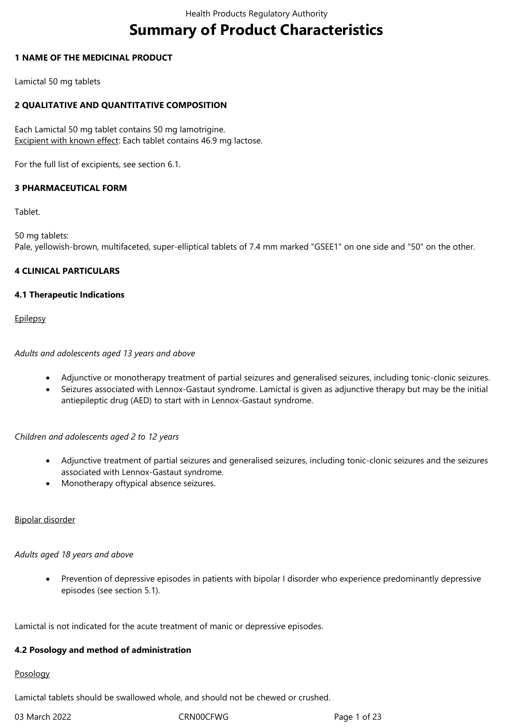# **Summary of Product Characteristics**

### **1 NAME OF THE MEDICINAL PRODUCT**

Lamictal 50 mg tablets

### **2 QUALITATIVE AND QUANTITATIVE COMPOSITION**

Each Lamictal 50 mg tablet contains 50 mg lamotrigine. Excipient with known effect: Each tablet contains 46.9 mg lactose.

For the full list of excipients, see section 6.1.

### **3 PHARMACEUTICAL FORM**

Tablet.

50 mg tablets: Pale, yellowish-brown, multifaceted, super-elliptical tablets of 7.4 mm marked "GSEE1" on one side and "50" on the other.

### **4 CLINICAL PARTICULARS**

### **4.1 Therapeutic Indications**

**Epilepsy** 

### *Adults and adolescents aged 13 years and above*

- Adjunctive or monotherapy treatment of partial seizures and generalised seizures, including tonic‑clonic seizures.
- Seizures associated with Lennox‑Gastaut syndrome. Lamictal is given as adjunctive therapy but may be the initial antiepileptic drug (AED) to start with in Lennox-Gastaut syndrome.

### *Children and adolescents aged 2 to 12 years*

- Adjunctive treatment of partial seizures and generalised seizures, including tonic‑clonic seizures and the seizures associated with Lennox‑Gastaut syndrome.
- Monotherapy oftypical absence seizures.

### Bipolar disorder

### *Adults aged 18 years and above*

 Prevention of depressive episodes in patients with bipolar I disorder who experience predominantly depressive episodes (see section 5.1).

Lamictal is not indicated for the acute treatment of manic or depressive episodes.

### **4.2 Posology and method of administration**

### Posology

Lamictal tablets should be swallowed whole, and should not be chewed or crushed.

03 March 2022 CRN00CFWG CRNOCFWG Page 1 of 23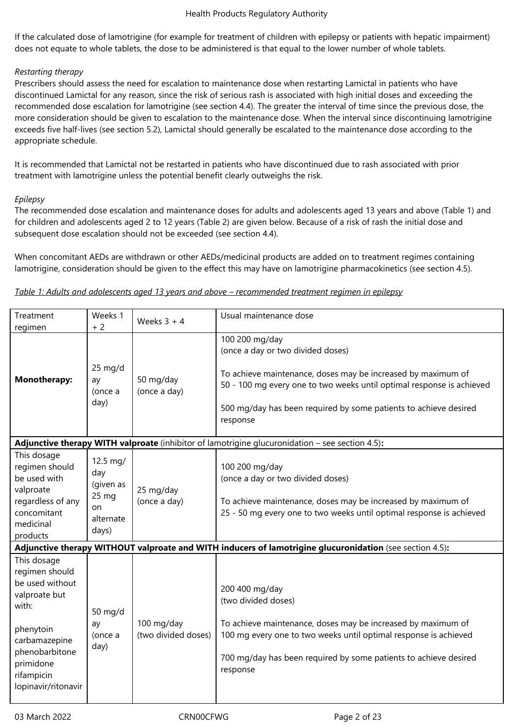If the calculated dose of lamotrigine (for example for treatment of children with epilepsy or patients with hepatic impairment) does not equate to whole tablets, the dose to be administered is that equal to the lower number of whole tablets.

### *Restarting therapy*

Prescribers should assess the need for escalation to maintenance dose when restarting Lamictal in patients who have discontinued Lamictal for any reason, since the risk of serious rash is associated with high initial doses and exceeding the recommended dose escalation for lamotrigine (see section 4.4). The greater the interval of time since the previous dose, the more consideration should be given to escalation to the maintenance dose. When the interval since discontinuing lamotrigine exceeds five half-lives (see section 5.2), Lamictal should generally be escalated to the maintenance dose according to the appropriate schedule.

It is recommended that Lamictal not be restarted in patients who have discontinued due to rash associated with prior treatment with lamotrigine unless the potential benefit clearly outweighs the risk.

### *Epilepsy*

The recommended dose escalation and maintenance doses for adults and adolescents aged 13 years and above (Table 1) and for children and adolescents aged 2 to 12 years (Table 2) are given below. Because of a risk of rash the initial dose and subsequent dose escalation should not be exceeded (see section 4.4).

When concomitant AEDs are withdrawn or other AEDs/medicinal products are added on to treatment regimes containing lamotrigine, consideration should be given to the effect this may have on lamotrigine pharmacokinetics (see section 4.5).

| Table 1: Adults and adolescents aged 13 years and above - recommended treatment regimen in epilepsy |  |  |
|-----------------------------------------------------------------------------------------------------|--|--|
|                                                                                                     |  |  |

| Treatment<br>regimen                                                                                                                                                         | Weeks 1<br>$+2$                                                              | Weeks $3 + 4$                     | Usual maintenance dose                                                                                                                                                                                                                                                       |
|------------------------------------------------------------------------------------------------------------------------------------------------------------------------------|------------------------------------------------------------------------------|-----------------------------------|------------------------------------------------------------------------------------------------------------------------------------------------------------------------------------------------------------------------------------------------------------------------------|
| <b>Monotherapy:</b>                                                                                                                                                          | $25 \text{ mg/d}$<br>ay<br>(once a<br>day)                                   | 50 mg/day<br>(once a day)         | 100 200 mg/day<br>(once a day or two divided doses)<br>To achieve maintenance, doses may be increased by maximum of<br>50 - 100 mg every one to two weeks until optimal response is achieved<br>500 mg/day has been required by some patients to achieve desired<br>response |
|                                                                                                                                                                              |                                                                              |                                   | <b>Adjunctive therapy WITH valproate</b> (inhibitor of lamotrigine glucuronidation $-$ see section 4.5):                                                                                                                                                                     |
| This dosage<br>regimen should<br>be used with<br>valproate<br>regardless of any<br>concomitant<br>medicinal<br>products                                                      | 12.5 mg/<br>day<br>(given as<br>25 <sub>mg</sub><br>on<br>alternate<br>days) | 25 mg/day<br>(once a day)         | 100 200 mg/day<br>(once a day or two divided doses)<br>To achieve maintenance, doses may be increased by maximum of<br>25 - 50 mg every one to two weeks until optimal response is achieved                                                                                  |
|                                                                                                                                                                              |                                                                              |                                   | Adjunctive therapy WITHOUT valproate and WITH inducers of lamotrigine glucuronidation (see section 4.5):                                                                                                                                                                     |
| This dosage<br>regimen should<br>be used without<br>valproate but<br>with:<br>phenytoin<br>carbamazepine<br>phenobarbitone<br>primidone<br>rifampicin<br>lopinavir/ritonavir | 50 mg/d<br>ay<br>(once a<br>day)                                             | 100 mg/day<br>(two divided doses) | 200 400 mg/day<br>(two divided doses)<br>To achieve maintenance, doses may be increased by maximum of<br>100 mg every one to two weeks until optimal response is achieved<br>700 mg/day has been required by some patients to achieve desired<br>response                    |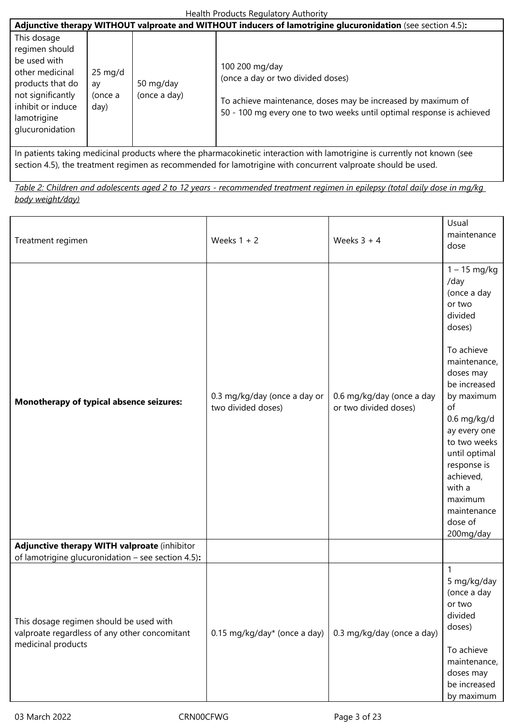|                                                                                                                                                                  | Adjunctive therapy WITHOUT valproate and WITHOUT inducers of lamotrigine glucuronidation (see section 4.5): |                           |                                                                                                                                                                                              |  |  |
|------------------------------------------------------------------------------------------------------------------------------------------------------------------|-------------------------------------------------------------------------------------------------------------|---------------------------|----------------------------------------------------------------------------------------------------------------------------------------------------------------------------------------------|--|--|
| This dosage<br>regimen should<br>be used with<br>other medicinal<br>products that do<br>not significantly<br>inhibit or induce<br>lamotrigine<br>glucuronidation | $25 \text{ mg/d}$<br>av<br>(once a<br>day)                                                                  | 50 mg/day<br>(once a day) | 100 200 mg/day<br>(once a day or two divided doses)<br>To achieve maintenance, doses may be increased by maximum of<br>50 - 100 mg every one to two weeks until optimal response is achieved |  |  |

In patients taking medicinal products where the pharmacokinetic interaction with lamotrigine is currently not known (see section 4.5), the treatment regimen as recommended for lamotrigine with concurrent valproate should be used.

*Table 2: Children and adolescents aged 2 to 12 years - recommended treatment regimen in epilepsy (total daily dose in mg/kg body weight/day)*

| Treatment regimen                                                                                              | Weeks $1 + 2$                                      | Weeks $3 + 4$                                      | Usual<br>maintenance<br>dose                                                                                                                                                                                                                                                                                  |
|----------------------------------------------------------------------------------------------------------------|----------------------------------------------------|----------------------------------------------------|---------------------------------------------------------------------------------------------------------------------------------------------------------------------------------------------------------------------------------------------------------------------------------------------------------------|
| Monotherapy of typical absence seizures:                                                                       | 0.3 mg/kg/day (once a day or<br>two divided doses) | 0.6 mg/kg/day (once a day<br>or two divided doses) | $1 - 15$ mg/kg<br>/day<br>(once a day<br>or two<br>divided<br>doses)<br>To achieve<br>maintenance,<br>doses may<br>be increased<br>by maximum<br>of<br>$0.6$ mg/kg/d<br>ay every one<br>to two weeks<br>until optimal<br>response is<br>achieved,<br>with a<br>maximum<br>maintenance<br>dose of<br>200mg/day |
| Adjunctive therapy WITH valproate (inhibitor<br>of lamotrigine glucuronidation - see section 4.5):             |                                                    |                                                    |                                                                                                                                                                                                                                                                                                               |
| This dosage regimen should be used with<br>valproate regardless of any other concomitant<br>medicinal products | 0.15 mg/kg/day* (once a day)                       | 0.3 mg/kg/day (once a day)                         | 1<br>5 mg/kg/day<br>(once a day<br>or two<br>divided<br>doses)<br>To achieve<br>maintenance,<br>doses may<br>be increased<br>by maximum                                                                                                                                                                       |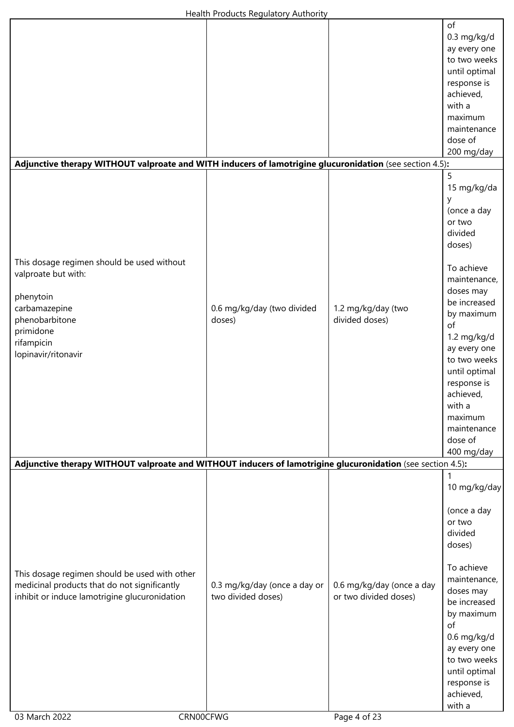| Adjunctive therapy WITHOUT valproate and WITH inducers of lamotrigine glucuronidation (see section 4.5):                                                            |                                                    |                                                    | of<br>$0.3$ mg/kg/d<br>ay every one<br>to two weeks<br>until optimal<br>response is<br>achieved,<br>with a<br>maximum<br>maintenance<br>dose of<br>200 mg/day                                                                                                                                          |
|---------------------------------------------------------------------------------------------------------------------------------------------------------------------|----------------------------------------------------|----------------------------------------------------|--------------------------------------------------------------------------------------------------------------------------------------------------------------------------------------------------------------------------------------------------------------------------------------------------------|
|                                                                                                                                                                     |                                                    |                                                    | 5                                                                                                                                                                                                                                                                                                      |
| This dosage regimen should be used without<br>valproate but with:<br>phenytoin<br>carbamazepine<br>phenobarbitone<br>primidone<br>rifampicin<br>lopinavir/ritonavir | 0.6 mg/kg/day (two divided<br>doses)               | 1.2 mg/kg/day (two<br>divided doses)               | 15 mg/kg/da<br>y<br>(once a day<br>or two<br>divided<br>doses)<br>To achieve<br>maintenance,<br>doses may<br>be increased<br>by maximum<br>of<br>1.2 mg/kg/d<br>ay every one<br>to two weeks<br>until optimal<br>response is<br>achieved,<br>with a<br>maximum<br>maintenance<br>dose of<br>400 mg/day |
| Adjunctive therapy WITHOUT valproate and WITHOUT inducers of lamotrigine glucuronidation (see section 4.5):                                                         |                                                    |                                                    |                                                                                                                                                                                                                                                                                                        |
| This dosage regimen should be used with other<br>medicinal products that do not significantly<br>inhibit or induce lamotrigine glucuronidation<br>CRN00CFWG         | 0.3 mg/kg/day (once a day or<br>two divided doses) | 0.6 mg/kg/day (once a day<br>or two divided doses) | 10 mg/kg/day<br>(once a day<br>or two<br>divided<br>doses)<br>To achieve<br>maintenance,<br>doses may<br>be increased<br>by maximum<br>of<br>0.6 mg/kg/d<br>ay every one<br>to two weeks<br>until optimal<br>response is<br>achieved,<br>with a                                                        |
| 03 March 2022                                                                                                                                                       |                                                    | Page 4 of 23                                       |                                                                                                                                                                                                                                                                                                        |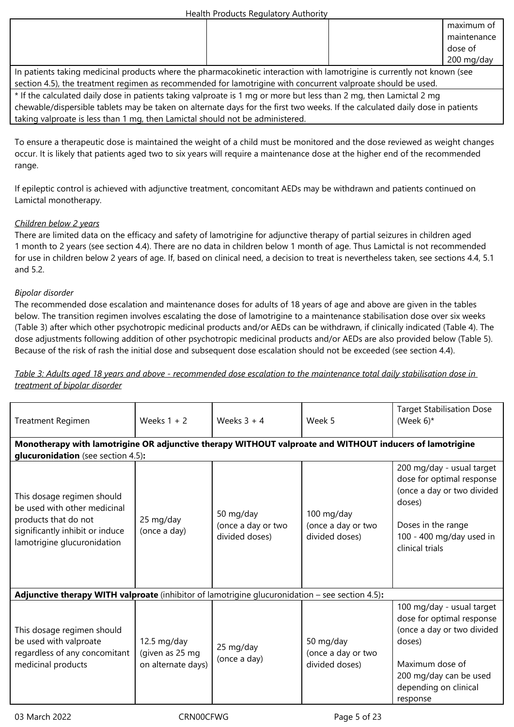|                                                                                                                          |  | maximum of  |
|--------------------------------------------------------------------------------------------------------------------------|--|-------------|
|                                                                                                                          |  | maintenance |
|                                                                                                                          |  | dose of     |
|                                                                                                                          |  | 200 mg/day  |
| In patients taking medicinal products where the pharmacokinetic interaction with lamotrigine is currently not known (see |  |             |
| section 4.5), the treatment regimen as recommended for lamotrigine with concurrent valproate should be used.             |  |             |
| t of the calculated daily dose in patients taking values at a 1 mg or more but less than 2 mg then Lamistal 2 mg         |  |             |

If the calculated daily dose in patients taking valproate is 1 mg or more but less than 2 mg, then Lamictal 2 mg chewable/dispersible tablets may be taken on alternate days for the first two weeks. If the calculated daily dose in patients taking valproate is less than 1 mg, then Lamictal should not be administered.

To ensure a therapeutic dose is maintained the weight of a child must be monitored and the dose reviewed as weight changes occur. It is likely that patients aged two to six years will require a maintenance dose at the higher end of the recommended range.

If epileptic control is achieved with adjunctive treatment, concomitant AEDs may be withdrawn and patients continued on Lamictal monotherapy.

### *Children below 2 years*

There are limited data on the efficacy and safety of lamotrigine for adjunctive therapy of partial seizures in children aged 1 month to 2 years (see section 4.4). There are no data in children below 1 month of age. Thus Lamictal is not recommended for use in children below 2 years of age. If, based on clinical need, a decision to treat is nevertheless taken, see sections 4.4, 5.1 and 5.2.

### *Bipolar disorder*

The recommended dose escalation and maintenance doses for adults of 18 years of age and above are given in the tables below. The transition regimen involves escalating the dose of lamotrigine to a maintenance stabilisation dose over six weeks (Table 3) after which other psychotropic medicinal products and/or AEDs can be withdrawn, if clinically indicated (Table 4). The dose adjustments following addition of other psychotropic medicinal products and/or AEDs are also provided below (Table 5). Because of the risk of rash the initial dose and subsequent dose escalation should not be exceeded (see section 4.4).

*Table 3: Adults aged 18 years and above - recommended dose escalation to the maintenance total daily stabilisation dose in treatment of bipolar disorder*

| <b>Treatment Regimen</b>                                                                                                                             | Weeks $1 + 2$                                        | Weeks $3 + 4$                                     | Week 5                                             | <b>Target Stabilisation Dose</b><br>(Week $6$ )*                                                                                                                                 |
|------------------------------------------------------------------------------------------------------------------------------------------------------|------------------------------------------------------|---------------------------------------------------|----------------------------------------------------|----------------------------------------------------------------------------------------------------------------------------------------------------------------------------------|
| Monotherapy with lamotrigine OR adjunctive therapy WITHOUT valproate and WITHOUT inducers of lamotrigine<br>glucuronidation (see section 4.5):       |                                                      |                                                   |                                                    |                                                                                                                                                                                  |
| This dosage regimen should<br>be used with other medicinal<br>products that do not<br>significantly inhibit or induce<br>lamotrigine glucuronidation | 25 mg/day<br>(once a day)                            | 50 mg/day<br>(once a day or two<br>divided doses) | 100 mg/day<br>(once a day or two<br>divided doses) | 200 mg/day - usual target<br>dose for optimal response<br>(once a day or two divided<br>doses)<br>Doses in the range<br>100 - 400 mg/day used in<br>clinical trials              |
| <b>Adjunctive therapy WITH valproate</b> (inhibitor of lamotrigine glucuronidation $-$ see section 4.5):                                             |                                                      |                                                   |                                                    |                                                                                                                                                                                  |
| This dosage regimen should<br>be used with valproate<br>regardless of any concomitant<br>medicinal products                                          | 12.5 mg/day<br>(given as 25 mg<br>on alternate days) | 25 mg/day<br>(once a day)                         | 50 mg/day<br>(once a day or two<br>divided doses)  | 100 mg/day - usual target<br>dose for optimal response<br>(once a day or two divided<br>doses)<br>Maximum dose of<br>200 mg/day can be used<br>depending on clinical<br>response |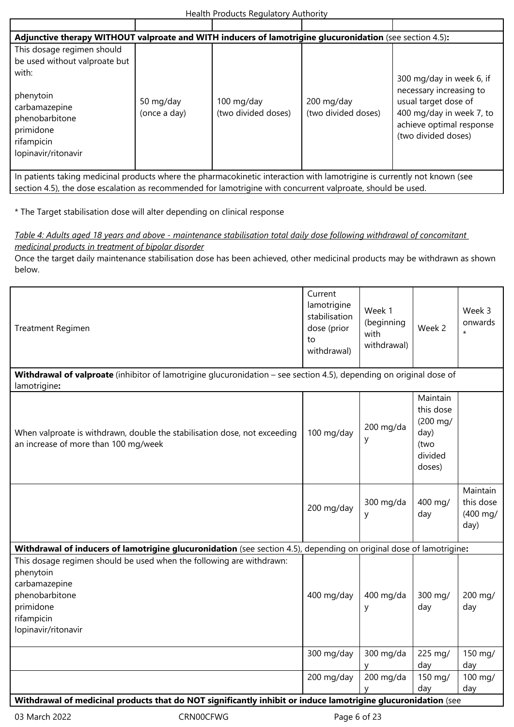| Adjunctive therapy WITHOUT valproate and WITH inducers of lamotrigine glucuronidation (see section 4.5):                 |                           |                                   |                                   |                                                                                                                                |  |  |
|--------------------------------------------------------------------------------------------------------------------------|---------------------------|-----------------------------------|-----------------------------------|--------------------------------------------------------------------------------------------------------------------------------|--|--|
| This dosage regimen should<br>be used without valproate but<br>with:                                                     |                           |                                   |                                   | 300 mg/day in week 6, if                                                                                                       |  |  |
| phenytoin<br>carbamazepine<br>phenobarbitone<br>primidone<br>rifampicin<br>lopinavir/ritonavir                           | 50 mg/day<br>(once a day) | 100 mg/day<br>(two divided doses) | 200 mg/day<br>(two divided doses) | necessary increasing to<br>usual target dose of<br>400 mg/day in week 7, to<br>achieve optimal response<br>(two divided doses) |  |  |
| In patients taking medicinal products where the pharmacokinetic interaction with lamotrigine is currently not known (see |                           |                                   |                                   |                                                                                                                                |  |  |

section 4.5), the dose escalation as recommended for lamotrigine with concurrent valproate, should be used.

\* The Target stabilisation dose will alter depending on clinical response

*Table 4: Adults aged 18 years and above - maintenance stabilisation total daily dose following withdrawal of concomitant medicinal products in treatment of bipolar disorder*

Once the target daily maintenance stabilisation dose has been achieved, other medicinal products may be withdrawn as shown below.

| Treatment Regimen                                                                              |                                                                                                                     | Current<br>lamotrigine<br>stabilisation<br>dose (prior<br>to<br>withdrawal) | Week 1<br>(beginning<br>with<br>withdrawal) | Week 2                                                                 | Week 3<br>onwards<br>$\star$                        |
|------------------------------------------------------------------------------------------------|---------------------------------------------------------------------------------------------------------------------|-----------------------------------------------------------------------------|---------------------------------------------|------------------------------------------------------------------------|-----------------------------------------------------|
|                                                                                                | Withdrawal of valproate (inhibitor of lamotrigine glucuronidation - see section 4.5), depending on original dose of |                                                                             |                                             |                                                                        |                                                     |
| lamotrigine:                                                                                   |                                                                                                                     |                                                                             |                                             |                                                                        |                                                     |
| an increase of more than 100 mg/week                                                           | When valproate is withdrawn, double the stabilisation dose, not exceeding                                           | 100 mg/day                                                                  | 200 mg/da<br>у                              | Maintain<br>this dose<br>(200 mg/<br>day)<br>(two<br>divided<br>doses) |                                                     |
|                                                                                                |                                                                                                                     | 200 mg/day                                                                  | 300 mg/da<br>у                              | 400 mg/<br>day                                                         | Maintain<br>this dose<br>$(400 \text{ mg})$<br>day) |
|                                                                                                | Withdrawal of inducers of lamotrigine glucuronidation (see section 4.5), depending on original dose of lamotrigine: |                                                                             |                                             |                                                                        |                                                     |
| phenytoin<br>carbamazepine<br>phenobarbitone<br>primidone<br>rifampicin<br>lopinavir/ritonavir | This dosage regimen should be used when the following are withdrawn:                                                | 400 mg/day                                                                  | 400 mg/da<br>у                              | 300 mg/<br>day                                                         | 200 mg/<br>day                                      |
|                                                                                                |                                                                                                                     | 300 mg/day                                                                  | 300 mg/da                                   | 225 mg/                                                                | 150 mg/                                             |
|                                                                                                |                                                                                                                     |                                                                             |                                             | day                                                                    | day                                                 |
|                                                                                                |                                                                                                                     | 200 mg/day                                                                  | 200 mg/da                                   | 150 mg/<br>day                                                         | 100 mg/<br>day                                      |
|                                                                                                | Withdrawal of medicinal products that do NOT significantly inhibit or induce lamotrigine glucuronidation (see       |                                                                             |                                             |                                                                        |                                                     |
| 03 March 2022                                                                                  | CRN00CFWG                                                                                                           | Page 6 of 23                                                                |                                             |                                                                        |                                                     |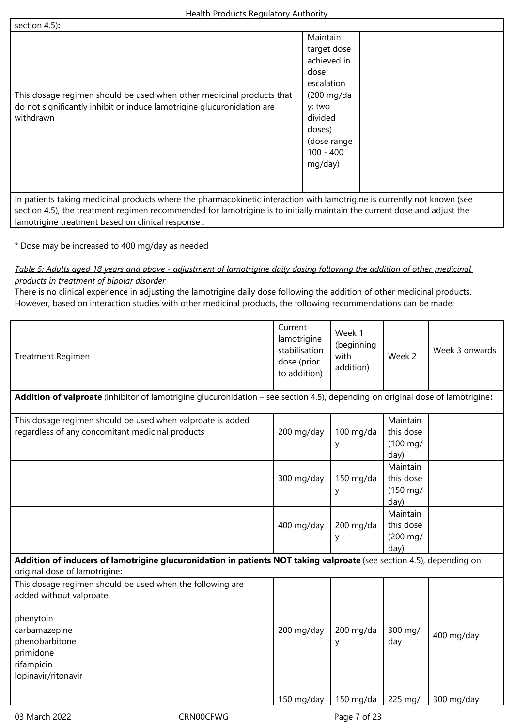| section $4.5$ :<br>This dosage regimen should be used when other medicinal products that<br>do not significantly inhibit or induce lamotrigine glucuronidation are<br>withdrawn | Maintain<br>target dose<br>achieved in<br>dose<br>escalation<br>$(200 \text{ mg}/da)$<br>y; two<br>divided<br>doses)<br>(dose range<br>$100 - 400$<br>mg/day) |
|---------------------------------------------------------------------------------------------------------------------------------------------------------------------------------|---------------------------------------------------------------------------------------------------------------------------------------------------------------|
|                                                                                                                                                                                 |                                                                                                                                                               |
| In patients taking medicinal products where the pharmacokinetic interaction with lamotrigine is currently not known (see                                                        |                                                                                                                                                               |

ial products where the pharmacokinetic interaction with lamotrigine is currently section 4.5), the treatment regimen recommended for lamotrigine is to initially maintain the current dose and adjust the lamotrigine treatment based on clinical response .

\* Dose may be increased to 400 mg/day as needed

*Table 5: Adults aged 18 years and above - adjustment of lamotrigine daily dosing following the addition of other medicinal products in treatment of bipolar disorder* 

There is no clinical experience in adjusting the lamotrigine daily dose following the addition of other medicinal products. However, based on interaction studies with other medicinal products, the following recommendations can be made:

| Treatment Regimen                                                                                                                                                                       | Current<br>lamotrigine<br>stabilisation<br>dose (prior<br>to addition) | Week 1<br>(beginning<br>with<br>addition) | Week 2                                              | Week 3 onwards |
|-----------------------------------------------------------------------------------------------------------------------------------------------------------------------------------------|------------------------------------------------------------------------|-------------------------------------------|-----------------------------------------------------|----------------|
| Addition of valproate (inhibitor of lamotrigine glucuronidation - see section 4.5), depending on original dose of lamotrigine:                                                          |                                                                        |                                           |                                                     |                |
| This dosage regimen should be used when valproate is added<br>regardless of any concomitant medicinal products                                                                          | 200 mg/day                                                             | $100$ mg/da<br>y                          | Maintain<br>this dose<br>$(100 \text{ mg})$<br>day) |                |
|                                                                                                                                                                                         | 300 mg/day                                                             | 150 mg/da<br>y                            | Maintain<br>this dose<br>$(150 \text{ mg})$<br>day) |                |
|                                                                                                                                                                                         | 400 mg/day                                                             | 200 mg/da<br>у                            | Maintain<br>this dose<br>$(200 \text{ mg})$<br>day) |                |
| Addition of inducers of lamotrigine glucuronidation in patients NOT taking valproate (see section 4.5), depending on<br>original dose of lamotrigine:                                   |                                                                        |                                           |                                                     |                |
| This dosage regimen should be used when the following are<br>added without valproate:<br>phenytoin<br>carbamazepine<br>phenobarbitone<br>primidone<br>rifampicin<br>lopinavir/ritonavir | 200 mg/day                                                             | 200 mg/da<br>у                            | 300 mg/<br>day                                      | 400 mg/day     |
|                                                                                                                                                                                         | 150 mg/day                                                             | $150$ mg/da                               | 225 mg/                                             | 300 mg/day     |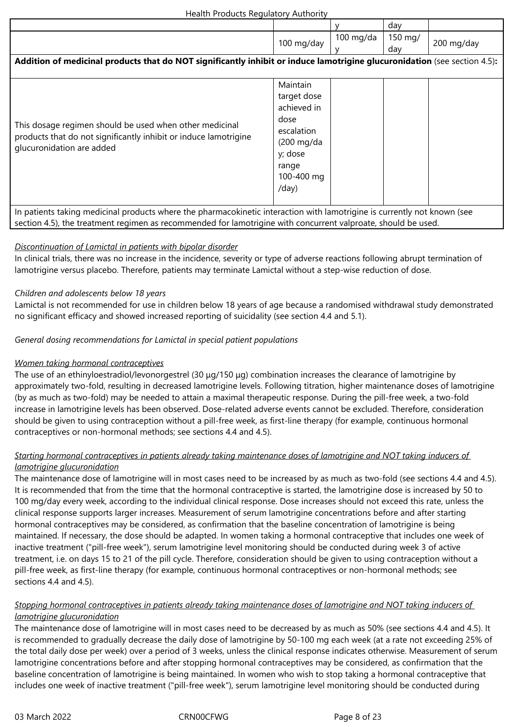|                                                                                                                           |             |             | day     |            |
|---------------------------------------------------------------------------------------------------------------------------|-------------|-------------|---------|------------|
|                                                                                                                           |             | $100$ mg/da | 150 mg/ |            |
|                                                                                                                           | 100 mg/day  |             | day     | 200 mg/day |
| Addition of medicinal products that do NOT significantly inhibit or induce lamotrigine glucuronidation (see section 4.5): |             |             |         |            |
|                                                                                                                           |             |             |         |            |
|                                                                                                                           | Maintain    |             |         |            |
|                                                                                                                           | target dose |             |         |            |
|                                                                                                                           | achieved in |             |         |            |
| This dosage regimen should be used when other medicinal                                                                   | dose        |             |         |            |
| products that do not significantly inhibit or induce lamotrigine                                                          | escalation  |             |         |            |
| glucuronidation are added                                                                                                 | (200 mg/da  |             |         |            |
|                                                                                                                           | y; dose     |             |         |            |
|                                                                                                                           | range       |             |         |            |
|                                                                                                                           | 100-400 mg  |             |         |            |
|                                                                                                                           | /day)       |             |         |            |
|                                                                                                                           |             |             |         |            |
| In patients taking medicinal products where the pharmacokinetic interaction with lamotrigine is currently not known (see  |             |             |         |            |
| section 4.5), the treatment regimen as recommended for lamotrigine with concurrent valproate, should be used.             |             |             |         |            |

### *Discontinuation of Lamictal in patients with bipolar disorder*

In clinical trials, there was no increase in the incidence, severity or type of adverse reactions following abrupt termination of lamotrigine versus placebo. Therefore, patients may terminate Lamictal without a step-wise reduction of dose.

### *Children and adolescents below 18 years*

Lamictal is not recommended for use in children below 18 years of age because a randomised withdrawal study demonstrated no significant efficacy and showed increased reporting of suicidality (see section 4.4 and 5.1).

### *General dosing recommendations for Lamictal in special patient populations*

### *Women taking hormonal contraceptives*

The use of an ethinyloestradiol/levonorgestrel (30 μg/150 μg) combination increases the clearance of lamotrigine by approximately two-fold, resulting in decreased lamotrigine levels. Following titration, higher maintenance doses of lamotrigine (by as much as two-fold) may be needed to attain a maximal therapeutic response. During the pill-free week, a two-fold increase in lamotrigine levels has been observed. Dose-related adverse events cannot be excluded. Therefore, consideration should be given to using contraception without a pill-free week, as first-line therapy (for example, continuous hormonal contraceptives or non‑hormonal methods; see sections 4.4 and 4.5).

### *Starting hormonal contraceptives in patients already taking maintenance doses of lamotrigine and NOT taking inducers of lamotrigine glucuronidation*

The maintenance dose of lamotrigine will in most cases need to be increased by as much as two-fold (see sections 4.4 and 4.5). It is recommended that from the time that the hormonal contraceptive is started, the lamotrigine dose is increased by 50 to 100 mg/day every week, according to the individual clinical response. Dose increases should not exceed this rate, unless the clinical response supports larger increases. Measurement of serum lamotrigine concentrations before and after starting hormonal contraceptives may be considered, as confirmation that the baseline concentration of lamotrigine is being maintained. If necessary, the dose should be adapted. In women taking a hormonal contraceptive that includes one week of inactive treatment ("pill-free week"), serum lamotrigine level monitoring should be conducted during week 3 of active treatment, i.e. on days 15 to 21 of the pill cycle. Therefore, consideration should be given to using contraception without a pill-free week, as first-line therapy (for example, continuous hormonal contraceptives or non-hormonal methods; see sections 4.4 and 4.5).

### *Stopping hormonal contraceptives in patients already taking maintenance doses of lamotrigine and NOT taking inducers of lamotrigine glucuronidation*

The maintenance dose of lamotrigine will in most cases need to be decreased by as much as 50% (see sections 4.4 and 4.5). It is recommended to gradually decrease the daily dose of lamotrigine by 50-100 mg each week (at a rate not exceeding 25% of the total daily dose per week) over a period of 3 weeks, unless the clinical response indicates otherwise. Measurement of serum lamotrigine concentrations before and after stopping hormonal contraceptives may be considered, as confirmation that the baseline concentration of lamotrigine is being maintained. In women who wish to stop taking a hormonal contraceptive that includes one week of inactive treatment ("pill-free week"), serum lamotrigine level monitoring should be conducted during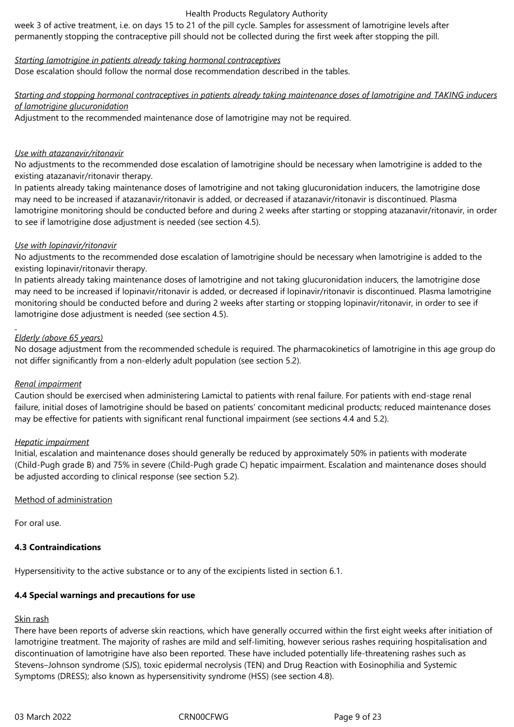week 3 of active treatment, i.e. on days 15 to 21 of the pill cycle. Samples for assessment of lamotrigine levels after permanently stopping the contraceptive pill should not be collected during the first week after stopping the pill.

### *Starting lamotrigine in patients already taking hormonal contraceptives*

Dose escalation should follow the normal dose recommendation described in the tables.

### *Starting and stopping hormonal contraceptives in patients already taking maintenance doses of lamotrigine and TAKING inducers of lamotrigine glucuronidation*

Adjustment to the recommended maintenance dose of lamotrigine may not be required.

### *Use with atazanavir/ritonavir*

No adjustments to the recommended dose escalation of lamotrigine should be necessary when lamotrigine is added to the existing atazanavir/ritonavir therapy.

In patients already taking maintenance doses of lamotrigine and not taking glucuronidation inducers, the lamotrigine dose may need to be increased if atazanavir/ritonavir is added, or decreased if atazanavir/ritonavir is discontinued. Plasma lamotrigine monitoring should be conducted before and during 2 weeks after starting or stopping atazanavir/ritonavir, in order to see if lamotrigine dose adjustment is needed (see section 4.5).

### *Use with lopinavir/ritonavir*

No adjustments to the recommended dose escalation of lamotrigine should be necessary when lamotrigine is added to the existing lopinavir/ritonavir therapy.

In patients already taking maintenance doses of lamotrigine and not taking glucuronidation inducers, the lamotrigine dose may need to be increased if lopinavir/ritonavir is added, or decreased if lopinavir/ritonavir is discontinued. Plasma lamotrigine monitoring should be conducted before and during 2 weeks after starting or stopping lopinavir/ritonavir, in order to see if lamotrigine dose adjustment is needed (see section 4.5).

### *Elderly (above 65 years)*

No dosage adjustment from the recommended schedule is required. The pharmacokinetics of lamotrigine in this age group do not differ significantly from a non‑elderly adult population (see section 5.2).

### *Renal impairment*

Caution should be exercised when administering Lamictal to patients with renal failure. For patients with end-stage renal failure, initial doses of lamotrigine should be based on patients' concomitant medicinal products; reduced maintenance doses may be effective for patients with significant renal functional impairment (see sections 4.4 and 5.2).

### *Hepatic impairment*

Initial, escalation and maintenance doses should generally be reduced by approximately 50% in patients with moderate (Child‑Pugh grade B) and 75% in severe (Child‑Pugh grade C) hepatic impairment. Escalation and maintenance doses should be adjusted according to clinical response (see section 5.2).

### Method of administration

For oral use.

### **4.3 Contraindications**

Hypersensitivity to the active substance or to any of the excipients listed in section 6.1.

### **4.4 Special warnings and precautions for use**

### Skin rash

There have been reports of adverse skin reactions, which have generally occurred within the first eight weeks after initiation of lamotrigine treatment. The majority of rashes are mild and self‑limiting, however serious rashes requiring hospitalisation and discontinuation of lamotrigine have also been reported. These have included potentially life-threatening rashes such as Stevens–Johnson syndrome (SJS), toxic epidermal necrolysis (TEN) and Drug Reaction with Eosinophilia and Systemic Symptoms (DRESS); also known as hypersensitivity syndrome (HSS) (see section 4.8).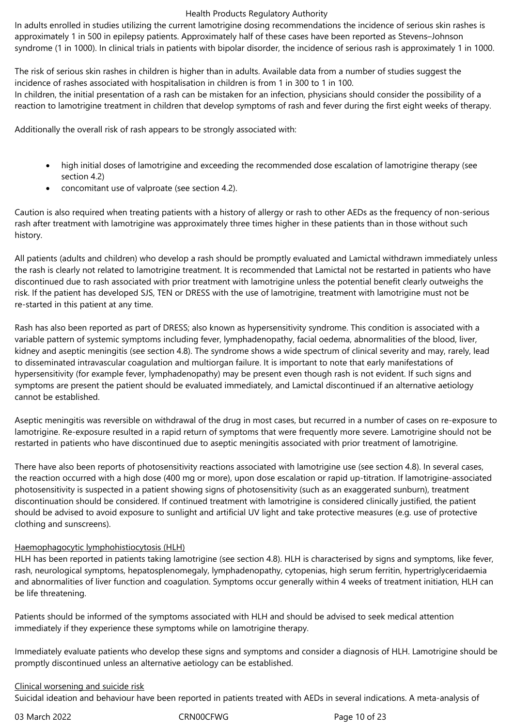In adults enrolled in studies utilizing the current lamotrigine dosing recommendations the incidence of serious skin rashes is approximately 1 in 500 in epilepsy patients. Approximately half of these cases have been reported as Stevens–Johnson syndrome (1 in 1000). In clinical trials in patients with bipolar disorder, the incidence of serious rash is approximately 1 in 1000.

The risk of serious skin rashes in children is higher than in adults. Available data from a number of studies suggest the incidence of rashes associated with hospitalisation in children is from 1 in 300 to 1 in 100. In children, the initial presentation of a rash can be mistaken for an infection, physicians should consider the possibility of a reaction to lamotrigine treatment in children that develop symptoms of rash and fever during the first eight weeks of therapy.

Additionally the overall risk of rash appears to be strongly associated with:

- high initial doses of lamotrigine and exceeding the recommended dose escalation of lamotrigine therapy (see section 4.2)
- concomitant use of valproate (see section 4.2).

Caution is also required when treating patients with a history of allergy or rash to other AEDs as the frequency of non‑serious rash after treatment with lamotrigine was approximately three times higher in these patients than in those without such history.

All patients (adults and children) who develop a rash should be promptly evaluated and Lamictal withdrawn immediately unless the rash is clearly not related to lamotrigine treatment. It is recommended that Lamictal not be restarted in patients who have discontinued due to rash associated with prior treatment with lamotrigine unless the potential benefit clearly outweighs the risk. If the patient has developed SJS, TEN or DRESS with the use of lamotrigine, treatment with lamotrigine must not be re-started in this patient at any time.

Rash has also been reported as part of DRESS; also known as hypersensitivity syndrome. This condition is associated with a variable pattern of systemic symptoms including fever, lymphadenopathy, facial oedema, abnormalities of the blood, liver, kidney and aseptic meningitis (see section 4.8). The syndrome shows a wide spectrum of clinical severity and may, rarely, lead to disseminated intravascular coagulation and multiorgan failure. It is important to note that early manifestations of hypersensitivity (for example fever, lymphadenopathy) may be present even though rash is not evident. If such signs and symptoms are present the patient should be evaluated immediately, and Lamictal discontinued if an alternative aetiology cannot be established.

Aseptic meningitis was reversible on withdrawal of the drug in most cases, but recurred in a number of cases on re-exposure to lamotrigine. Re-exposure resulted in a rapid return of symptoms that were frequently more severe. Lamotrigine should not be restarted in patients who have discontinued due to aseptic meningitis associated with prior treatment of lamotrigine.

There have also been reports of photosensitivity reactions associated with lamotrigine use (see section 4.8). In several cases, the reaction occurred with a high dose (400 mg or more), upon dose escalation or rapid up-titration. If lamotrigine-associated photosensitivity is suspected in a patient showing signs of photosensitivity (such as an exaggerated sunburn), treatment discontinuation should be considered. If continued treatment with lamotrigine is considered clinically justified, the patient should be advised to avoid exposure to sunlight and artificial UV light and take protective measures (e.g. use of protective clothing and sunscreens).

### Haemophagocytic lymphohistiocytosis (HLH)

HLH has been reported in patients taking lamotrigine (see section 4.8). HLH is characterised by signs and symptoms, like fever, rash, neurological symptoms, hepatosplenomegaly, lymphadenopathy, cytopenias, high serum ferritin, hypertriglyceridaemia and abnormalities of liver function and coagulation. Symptoms occur generally within 4 weeks of treatment initiation, HLH can be life threatening.

Patients should be informed of the symptoms associated with HLH and should be advised to seek medical attention immediately if they experience these symptoms while on lamotrigine therapy.

Immediately evaluate patients who develop these signs and symptoms and consider a diagnosis of HLH. Lamotrigine should be promptly discontinued unless an alternative aetiology can be established.

### Clinical worsening and suicide risk

Suicidal ideation and behaviour have been reported in patients treated with AEDs in several indications. A meta-analysis of

03 March 2022 CRN00CFWG CROSS CROSS CROSS Page 10 of 23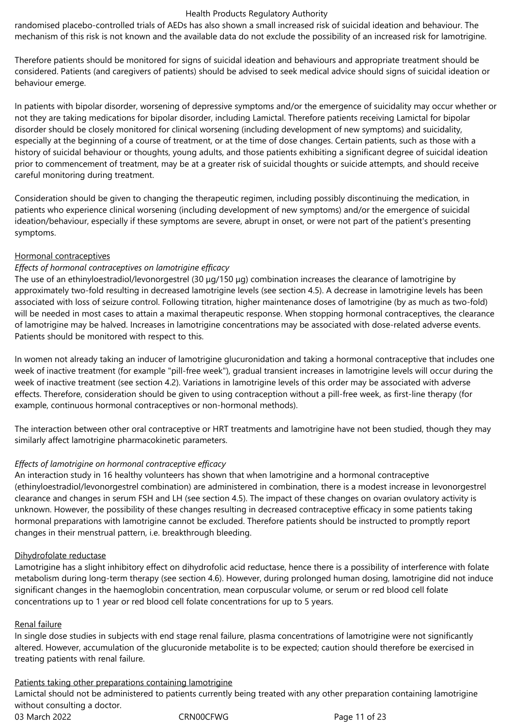randomised placebo‑controlled trials of AEDs has also shown a small increased risk of suicidal ideation and behaviour. The mechanism of this risk is not known and the available data do not exclude the possibility of an increased risk for lamotrigine.

Therefore patients should be monitored for signs of suicidal ideation and behaviours and appropriate treatment should be considered. Patients (and caregivers of patients) should be advised to seek medical advice should signs of suicidal ideation or behaviour emerge.

In patients with bipolar disorder, worsening of depressive symptoms and/or the emergence of suicidality may occur whether or not they are taking medications for bipolar disorder, including Lamictal. Therefore patients receiving Lamictal for bipolar disorder should be closely monitored for clinical worsening (including development of new symptoms) and suicidality, especially at the beginning of a course of treatment, or at the time of dose changes. Certain patients, such as those with a history of suicidal behaviour or thoughts, young adults, and those patients exhibiting a significant degree of suicidal ideation prior to commencement of treatment, may be at a greater risk of suicidal thoughts or suicide attempts, and should receive careful monitoring during treatment.

Consideration should be given to changing the therapeutic regimen, including possibly discontinuing the medication, in patients who experience clinical worsening (including development of new symptoms) and/or the emergence of suicidal ideation/behaviour, especially if these symptoms are severe, abrupt in onset, or were not part of the patient's presenting symptoms.

### Hormonal contraceptives

### *Effects of hormonal contraceptives on lamotrigine efficacy*

The use of an ethinyloestradiol/levonorgestrel (30 μg/150 μg) combination increases the clearance of lamotrigine by approximately two-fold resulting in decreased lamotrigine levels (see section 4.5). A decrease in lamotrigine levels has been associated with loss of seizure control. Following titration, higher maintenance doses of lamotrigine (by as much as two-fold) will be needed in most cases to attain a maximal therapeutic response. When stopping hormonal contraceptives, the clearance of lamotrigine may be halved. Increases in lamotrigine concentrations may be associated with dose-related adverse events. Patients should be monitored with respect to this.

In women not already taking an inducer of lamotrigine glucuronidation and taking a hormonal contraceptive that includes one week of inactive treatment (for example "pill-free week"), gradual transient increases in lamotrigine levels will occur during the week of inactive treatment (see section 4.2). Variations in lamotrigine levels of this order may be associated with adverse effects. Therefore, consideration should be given to using contraception without a pill-free week, as first-line therapy (for example, continuous hormonal contraceptives or non-hormonal methods).

The interaction between other oral contraceptive or HRT treatments and lamotrigine have not been studied, though they may similarly affect lamotrigine pharmacokinetic parameters.

### *Effects of lamotrigine on hormonal contraceptive efficacy*

An interaction study in 16 healthy volunteers has shown that when lamotrigine and a hormonal contraceptive (ethinyloestradiol/levonorgestrel combination) are administered in combination, there is a modest increase in levonorgestrel clearance and changes in serum FSH and LH (see section 4.5). The impact of these changes on ovarian ovulatory activity is unknown. However, the possibility of these changes resulting in decreased contraceptive efficacy in some patients taking hormonal preparations with lamotrigine cannot be excluded. Therefore patients should be instructed to promptly report changes in their menstrual pattern, i.e. breakthrough bleeding.

### Dihydrofolate reductase

Lamotrigine has a slight inhibitory effect on dihydrofolic acid reductase, hence there is a possibility of interference with folate metabolism during long‑term therapy (see section 4.6). However, during prolonged human dosing, lamotrigine did not induce significant changes in the haemoglobin concentration, mean corpuscular volume, or serum or red blood cell folate concentrations up to 1 year or red blood cell folate concentrations for up to 5 years.

### Renal failure

In single dose studies in subjects with end stage renal failure, plasma concentrations of lamotrigine were not significantly altered. However, accumulation of the glucuronide metabolite is to be expected; caution should therefore be exercised in treating patients with renal failure.

### Patients taking other preparations containing lamotrigine

03 March 2022 CRN00CFWG CROSS CROSS CROSS Page 11 of 23 Lamictal should not be administered to patients currently being treated with any other preparation containing lamotrigine without consulting a doctor.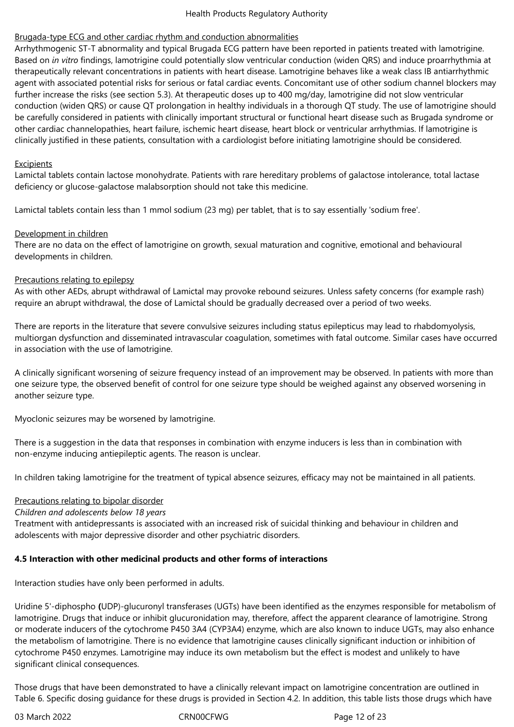### Brugada-type ECG and other cardiac rhythm and conduction abnormalities

Arrhythmogenic ST-T abnormality and typical Brugada ECG pattern have been reported in patients treated with lamotrigine. Based on *in vitro* findings, lamotrigine could potentially slow ventricular conduction (widen QRS) and induce proarrhythmia at therapeutically relevant concentrations in patients with heart disease. Lamotrigine behaves like a weak class IB antiarrhythmic agent with associated potential risks for serious or fatal cardiac events. Concomitant use of other sodium channel blockers may further increase the risks (see section 5.3). At therapeutic doses up to 400 mg/day, lamotrigine did not slow ventricular conduction (widen QRS) or cause QT prolongation in healthy individuals in a thorough QT study. The use of lamotrigine should be carefully considered in patients with clinically important structural or functional heart disease such as Brugada syndrome or other cardiac channelopathies, heart failure, ischemic heart disease, heart block or ventricular arrhythmias. If lamotrigine is clinically justified in these patients, consultation with a cardiologist before initiating lamotrigine should be considered.

### **Excipients**

Lamictal tablets contain lactose monohydrate. Patients with rare hereditary problems of galactose intolerance, total lactase deficiency or glucose-galactose malabsorption should not take this medicine.

Lamictal tablets contain less than 1 mmol sodium (23 mg) per tablet, that is to say essentially 'sodium free'.

### Development in children

There are no data on the effect of lamotrigine on growth, sexual maturation and cognitive, emotional and behavioural developments in children.

### Precautions relating to epilepsy

As with other AEDs, abrupt withdrawal of Lamictal may provoke rebound seizures. Unless safety concerns (for example rash) require an abrupt withdrawal, the dose of Lamictal should be gradually decreased over a period of two weeks.

There are reports in the literature that severe convulsive seizures including status epilepticus may lead to rhabdomyolysis, multiorgan dysfunction and disseminated intravascular coagulation, sometimes with fatal outcome. Similar cases have occurred in association with the use of lamotrigine.

A clinically significant worsening of seizure frequency instead of an improvement may be observed. In patients with more than one seizure type, the observed benefit of control for one seizure type should be weighed against any observed worsening in another seizure type.

Myoclonic seizures may be worsened by lamotrigine.

There is a suggestion in the data that responses in combination with enzyme inducers is less than in combination with non‑enzyme inducing antiepileptic agents. The reason is unclear.

In children taking lamotrigine for the treatment of typical absence seizures, efficacy may not be maintained in all patients.

### Precautions relating to bipolar disorder

### *Children and adolescents below 18 years*

Treatment with antidepressants is associated with an increased risk of suicidal thinking and behaviour in children and adolescents with major depressive disorder and other psychiatric disorders.

### **4.5 Interaction with other medicinal products and other forms of interactions**

Interaction studies have only been performed in adults.

Uridine 5'-diphospho **(**UDP)‑glucuronyl transferases (UGTs) have been identified as the enzymes responsible for metabolism of lamotrigine. Drugs that induce or inhibit glucuronidation may, therefore, affect the apparent clearance of lamotrigine. Strong or moderate inducers of the cytochrome P450 3A4 (CYP3A4) enzyme, which are also known to induce UGTs, may also enhance the metabolism of lamotrigine. There is no evidence that lamotrigine causes clinically significant induction or inhibition of cytochrome P450 enzymes. Lamotrigine may induce its own metabolism but the effect is modest and unlikely to have significant clinical consequences.

Those drugs that have been demonstrated to have a clinically relevant impact on lamotrigine concentration are outlined in Table 6. Specific dosing guidance for these drugs is provided in Section 4.2. In addition, this table lists those drugs which have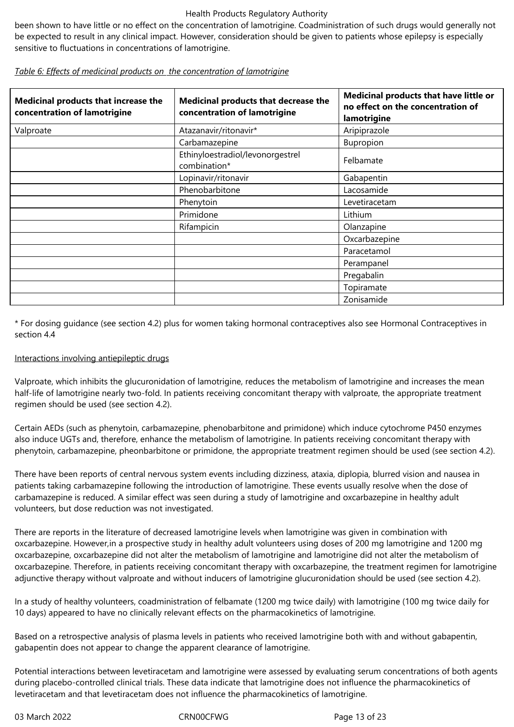been shown to have little or no effect on the concentration of lamotrigine. Coadministration of such drugs would generally not be expected to result in any clinical impact. However, consideration should be given to patients whose epilepsy is especially sensitive to fluctuations in concentrations of lamotrigine.

| Medicinal products that increase the<br>concentration of lamotrigine | Medicinal products that decrease the<br>concentration of lamotrigine | Medicinal products that have little or<br>no effect on the concentration of<br>lamotrigine |
|----------------------------------------------------------------------|----------------------------------------------------------------------|--------------------------------------------------------------------------------------------|
| Valproate                                                            | Atazanavir/ritonavir*                                                | Aripiprazole                                                                               |
|                                                                      | Carbamazepine                                                        | Bupropion                                                                                  |
|                                                                      | Ethinyloestradiol/levonorgestrel<br>combination*                     | Felbamate                                                                                  |
|                                                                      | Lopinavir/ritonavir                                                  | Gabapentin                                                                                 |
|                                                                      | Phenobarbitone                                                       | Lacosamide                                                                                 |
|                                                                      | Phenytoin                                                            | Levetiracetam                                                                              |
|                                                                      | Primidone                                                            | Lithium                                                                                    |
|                                                                      | Rifampicin                                                           | Olanzapine                                                                                 |
|                                                                      |                                                                      | Oxcarbazepine                                                                              |
|                                                                      |                                                                      | Paracetamol                                                                                |
|                                                                      |                                                                      | Perampanel                                                                                 |
|                                                                      |                                                                      | Pregabalin                                                                                 |
|                                                                      |                                                                      | Topiramate                                                                                 |
|                                                                      |                                                                      | Zonisamide                                                                                 |

*Table 6: Effects of medicinal products on the concentration of lamotrigine*

\* For dosing guidance (see section 4.2) plus for women taking hormonal contraceptives also see Hormonal Contraceptives in section 4.4

# Interactions involving antiepileptic drugs

Valproate, which inhibits the glucuronidation of lamotrigine, reduces the metabolism of lamotrigine and increases the mean half-life of lamotrigine nearly two-fold. In patients receiving concomitant therapy with valproate, the appropriate treatment regimen should be used (see section 4.2).

Certain AEDs (such as phenytoin, carbamazepine, phenobarbitone and primidone) which induce cytochrome P450 enzymes also induce UGTs and, therefore, enhance the metabolism of lamotrigine. In patients receiving concomitant therapy with phenytoin, carbamazepine, pheonbarbitone or primidone, the appropriate treatment regimen should be used (see section 4.2).

There have been reports of central nervous system events including dizziness, ataxia, diplopia, blurred vision and nausea in patients taking carbamazepine following the introduction of lamotrigine. These events usually resolve when the dose of carbamazepine is reduced. A similar effect was seen during a study of lamotrigine and oxcarbazepine in healthy adult volunteers, but dose reduction was not investigated.

There are reports in the literature of decreased lamotrigine levels when lamotrigine was given in combination with oxcarbazepine. However,in a prospective study in healthy adult volunteers using doses of 200 mg lamotrigine and 1200 mg oxcarbazepine, oxcarbazepine did not alter the metabolism of lamotrigine and lamotrigine did not alter the metabolism of oxcarbazepine. Therefore, in patients receiving concomitant therapy with oxcarbazepine, the treatment regimen for lamotrigine adjunctive therapy without valproate and without inducers of lamotrigine glucuronidation should be used (see section 4.2).

In a study of healthy volunteers, coadministration of felbamate (1200 mg twice daily) with lamotrigine (100 mg twice daily for 10 days) appeared to have no clinically relevant effects on the pharmacokinetics of lamotrigine.

Based on a retrospective analysis of plasma levels in patients who received lamotrigine both with and without gabapentin, gabapentin does not appear to change the apparent clearance of lamotrigine.

Potential interactions between levetiracetam and lamotrigine were assessed by evaluating serum concentrations of both agents during placebo-controlled clinical trials. These data indicate that lamotrigine does not influence the pharmacokinetics of levetiracetam and that levetiracetam does not influence the pharmacokinetics of lamotrigine.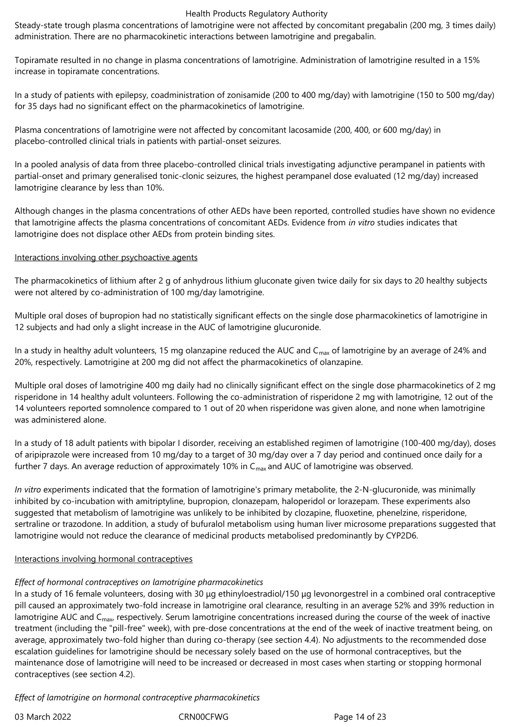Steady-state trough plasma concentrations of lamotrigine were not affected by concomitant pregabalin (200 mg, 3 times daily) administration. There are no pharmacokinetic interactions between lamotrigine and pregabalin.

Topiramate resulted in no change in plasma concentrations of lamotrigine. Administration of lamotrigine resulted in a 15% increase in topiramate concentrations.

In a study of patients with epilepsy, coadministration of zonisamide (200 to 400 mg/day) with lamotrigine (150 to 500 mg/day) for 35 days had no significant effect on the pharmacokinetics of lamotrigine.

Plasma concentrations of lamotrigine were not affected by concomitant lacosamide (200, 400, or 600 mg/day) in placebo-controlled clinical trials in patients with partial-onset seizures.

In a pooled analysis of data from three placebo-controlled clinical trials investigating adjunctive perampanel in patients with partial-onset and primary generalised tonic-clonic seizures, the highest perampanel dose evaluated (12 mg/day) increased lamotrigine clearance by less than 10%.

Although changes in the plasma concentrations of other AEDs have been reported, controlled studies have shown no evidence that lamotrigine affects the plasma concentrations of concomitant AEDs. Evidence from *in vitro* studies indicates that lamotrigine does not displace other AEDs from protein binding sites.

### Interactions involving other psychoactive agents

The pharmacokinetics of lithium after 2 g of anhydrous lithium gluconate given twice daily for six days to 20 healthy subjects were not altered by co-administration of 100 mg/day lamotrigine.

Multiple oral doses of bupropion had no statistically significant effects on the single dose pharmacokinetics of lamotrigine in 12 subjects and had only a slight increase in the AUC of lamotrigine glucuronide.

In a study in healthy adult volunteers, 15 mg olanzapine reduced the AUC and  $C_{\text{max}}$  of lamotrigine by an average of 24% and 20%, respectively. Lamotrigine at 200 mg did not affect the pharmacokinetics of olanzapine.

Multiple oral doses of lamotrigine 400 mg daily had no clinically significant effect on the single dose pharmacokinetics of 2 mg risperidone in 14 healthy adult volunteers. Following the co-administration of risperidone 2 mg with lamotrigine, 12 out of the 14 volunteers reported somnolence compared to 1 out of 20 when risperidone was given alone, and none when lamotrigine was administered alone.

In a study of 18 adult patients with bipolar I disorder, receiving an established regimen of lamotrigine (100-400 mg/day), doses of aripiprazole were increased from 10 mg/day to a target of 30 mg/day over a 7 day period and continued once daily for a further 7 days. An average reduction of approximately 10% in  $C_{\text{max}}$  and AUC of lamotrigine was observed.

*In vitro* experiments indicated that the formation of lamotrigine's primary metabolite, the 2‑N‑glucuronide, was minimally inhibited by co-incubation with amitriptyline, bupropion, clonazepam, haloperidol or lorazepam. These experiments also suggested that metabolism of lamotrigine was unlikely to be inhibited by clozapine, fluoxetine, phenelzine, risperidone, sertraline or trazodone. In addition, a study of bufuralol metabolism using human liver microsome preparations suggested that lamotrigine would not reduce the clearance of medicinal products metabolised predominantly by CYP2D6.

### Interactions involving hormonal contraceptives

### *Effect of hormonal contraceptives on lamotrigine pharmacokinetics*

In a study of 16 female volunteers, dosing with 30 μg ethinyloestradiol/150 μg levonorgestrel in a combined oral contraceptive pill caused an approximately two-fold increase in lamotrigine oral clearance, resulting in an average 52% and 39% reduction in lamotrigine AUC and  $C_{\text{max}}$  respectively. Serum lamotrigine concentrations increased during the course of the week of inactive treatment (including the "pill‑free" week), with pre‑dose concentrations at the end of the week of inactive treatment being, on average, approximately two-fold higher than during co-therapy (see section 4.4). No adjustments to the recommended dose escalation guidelines for lamotrigine should be necessary solely based on the use of hormonal contraceptives, but the maintenance dose of lamotrigine will need to be increased or decreased in most cases when starting or stopping hormonal contraceptives (see section 4.2).

*Effect of lamotrigine on hormonal contraceptive pharmacokinetics*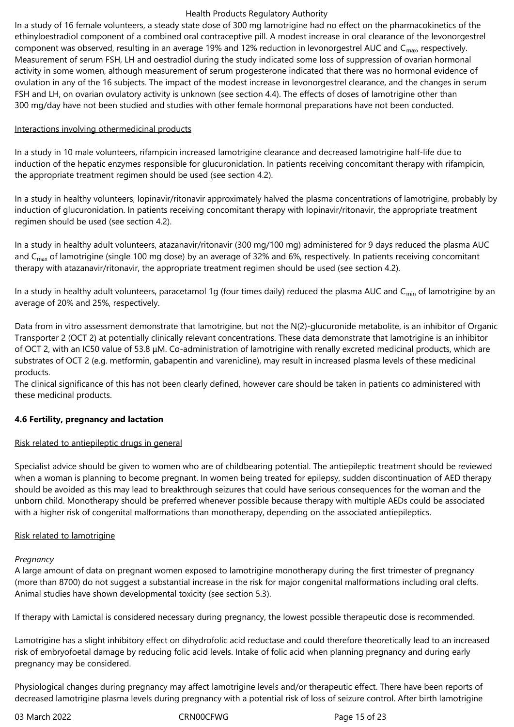In a study of 16 female volunteers, a steady state dose of 300 mg lamotrigine had no effect on the pharmacokinetics of the ethinyloestradiol component of a combined oral contraceptive pill. A modest increase in oral clearance of the levonorgestrel component was observed, resulting in an average 19% and 12% reduction in levonorgestrel AUC and C<sub>max</sub>, respectively. Measurement of serum FSH, LH and oestradiol during the study indicated some loss of suppression of ovarian hormonal activity in some women, although measurement of serum progesterone indicated that there was no hormonal evidence of ovulation in any of the 16 subjects. The impact of the modest increase in levonorgestrel clearance, and the changes in serum FSH and LH, on ovarian ovulatory activity is unknown (see section 4.4). The effects of doses of lamotrigine other than 300 mg/day have not been studied and studies with other female hormonal preparations have not been conducted.

### Interactions involving othermedicinal products

In a study in 10 male volunteers, rifampicin increased lamotrigine clearance and decreased lamotrigine half-life due to induction of the hepatic enzymes responsible for glucuronidation. In patients receiving concomitant therapy with rifampicin, the appropriate treatment regimen should be used (see section 4.2).

In a study in healthy volunteers, lopinavir/ritonavir approximately halved the plasma concentrations of lamotrigine, probably by induction of glucuronidation. In patients receiving concomitant therapy with lopinavir/ritonavir, the appropriate treatment regimen should be used (see section 4.2).

In a study in healthy adult volunteers, atazanavir/ritonavir (300 mg/100 mg) administered for 9 days reduced the plasma AUC and  $C_{\text{max}}$  of lamotrigine (single 100 mg dose) by an average of 32% and 6%, respectively. In patients receiving concomitant therapy with atazanavir/ritonavir, the appropriate treatment regimen should be used (see section 4.2).

In a study in healthy adult volunteers, paracetamol 1q (four times daily) reduced the plasma AUC and C<sub>min</sub> of lamotrigine by an average of 20% and 25%, respectively.

Data from in vitro assessment demonstrate that lamotrigine, but not the N(2)-glucuronide metabolite, is an inhibitor of Organic Transporter 2 (OCT 2) at potentially clinically relevant concentrations. These data demonstrate that lamotrigine is an inhibitor of OCT 2, with an IC50 value of 53.8 μM. Co-administration of lamotrigine with renally excreted medicinal products, which are substrates of OCT 2 (e.g. metformin, gabapentin and varenicline), may result in increased plasma levels of these medicinal products.

The clinical significance of this has not been clearly defined, however care should be taken in patients co administered with these medicinal products.

### **4.6 Fertility, pregnancy and lactation**

### Risk related to antiepileptic drugs in general

Specialist advice should be given to women who are of childbearing potential. The antiepileptic treatment should be reviewed when a woman is planning to become pregnant. In women being treated for epilepsy, sudden discontinuation of AED therapy should be avoided as this may lead to breakthrough seizures that could have serious consequences for the woman and the unborn child. Monotherapy should be preferred whenever possible because therapy with multiple AEDs could be associated with a higher risk of congenital malformations than monotherapy, depending on the associated antiepileptics.

### Risk related to lamotrigine

### *Pregnancy*

A large amount of data on pregnant women exposed to lamotrigine monotherapy during the first trimester of pregnancy (more than 8700) do not suggest a substantial increase in the risk for major congenital malformations including oral clefts. Animal studies have shown developmental toxicity (see section 5.3).

If therapy with Lamictal is considered necessary during pregnancy, the lowest possible therapeutic dose is recommended.

Lamotrigine has a slight inhibitory effect on dihydrofolic acid reductase and could therefore theoretically lead to an increased risk of embryofoetal damage by reducing folic acid levels. Intake of folic acid when planning pregnancy and during early pregnancy may be considered.

Physiological changes during pregnancy may affect lamotrigine levels and/or therapeutic effect. There have been reports of decreased lamotrigine plasma levels during pregnancy with a potential risk of loss of seizure control. After birth lamotrigine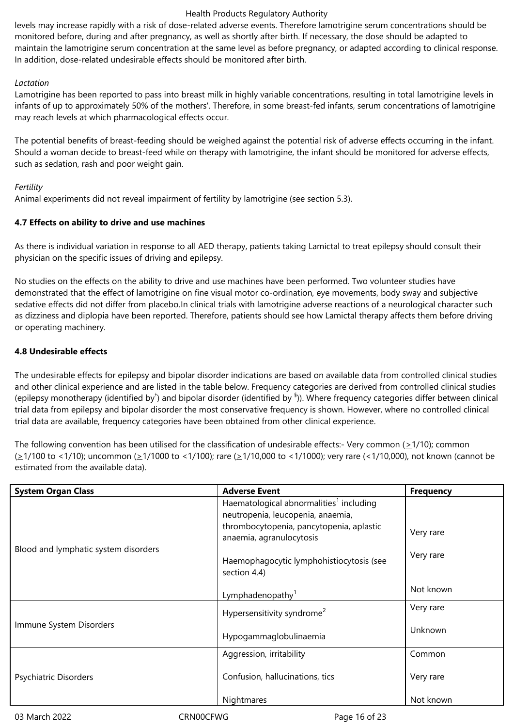levels may increase rapidly with a risk of dose-related adverse events. Therefore lamotrigine serum concentrations should be monitored before, during and after pregnancy, as well as shortly after birth. If necessary, the dose should be adapted to maintain the lamotrigine serum concentration at the same level as before pregnancy, or adapted according to clinical response. In addition, dose-related undesirable effects should be monitored after birth.

### *Lactation*

Lamotrigine has been reported to pass into breast milk in highly variable concentrations, resulting in total lamotrigine levels in infants of up to approximately 50% of the mothers'. Therefore, in some breast-fed infants, serum concentrations of lamotrigine may reach levels at which pharmacological effects occur.

The potential benefits of breast-feeding should be weighed against the potential risk of adverse effects occurring in the infant. Should a woman decide to breast‑feed while on therapy with lamotrigine, the infant should be monitored for adverse effects, such as sedation, rash and poor weight gain.

### *Fertility*

Animal experiments did not reveal impairment of fertility by lamotrigine (see section 5.3).

### **4.7 Effects on ability to drive and use machines**

As there is individual variation in response to all AED therapy, patients taking Lamictal to treat epilepsy should consult their physician on the specific issues of driving and epilepsy.

No studies on the effects on the ability to drive and use machines have been performed. Two volunteer studies have demonstrated that the effect of lamotrigine on fine visual motor co-ordination, eye movements, body sway and subjective sedative effects did not differ from placebo.In clinical trials with lamotrigine adverse reactions of a neurological character such as dizziness and diplopia have been reported. Therefore, patients should see how Lamictal therapy affects them before driving or operating machinery.

### **4.8 Undesirable effects**

The undesirable effects for epilepsy and bipolar disorder indications are based on available data from controlled clinical studies and other clinical experience and are listed in the table below. Frequency categories are derived from controlled clinical studies (epilepsy monotherapy (identified by<sup>†</sup>) and bipolar disorder (identified by <sup>§</sup>)). Where frequency categories differ between clinical trial data from epilepsy and bipolar disorder the most conservative frequency is shown. However, where no controlled clinical trial data are available, frequency categories have been obtained from other clinical experience.

The following convention has been utilised for the classification of undesirable effects:- Very common ( $\geq$ 1/10); common (>1/100 to <1/10); uncommon (>1/1000 to <1/100); rare (>1/10,000 to <1/1000); very rare (<1/10,000), not known (cannot be estimated from the available data).

| <b>System Organ Class</b>            | <b>Adverse Event</b>                                                                                                                                             | <b>Frequency</b> |
|--------------------------------------|------------------------------------------------------------------------------------------------------------------------------------------------------------------|------------------|
|                                      | Haematological abnormalities <sup>1</sup> including<br>neutropenia, leucopenia, anaemia,<br>thrombocytopenia, pancytopenia, aplastic<br>anaemia, agranulocytosis | Very rare        |
| Blood and lymphatic system disorders | Haemophagocytic lymphohistiocytosis (see<br>section 4.4)                                                                                                         | Very rare        |
|                                      | Lymphadenopathy <sup>1</sup>                                                                                                                                     | Not known        |
|                                      | Hypersensitivity syndrome <sup>2</sup>                                                                                                                           | Very rare        |
| Immune System Disorders              | Hypogammaglobulinaemia                                                                                                                                           | Unknown          |
|                                      | Aggression, irritability                                                                                                                                         | Common           |
| Psychiatric Disorders                | Confusion, hallucinations, tics                                                                                                                                  | Very rare        |
|                                      | Nightmares                                                                                                                                                       | Not known        |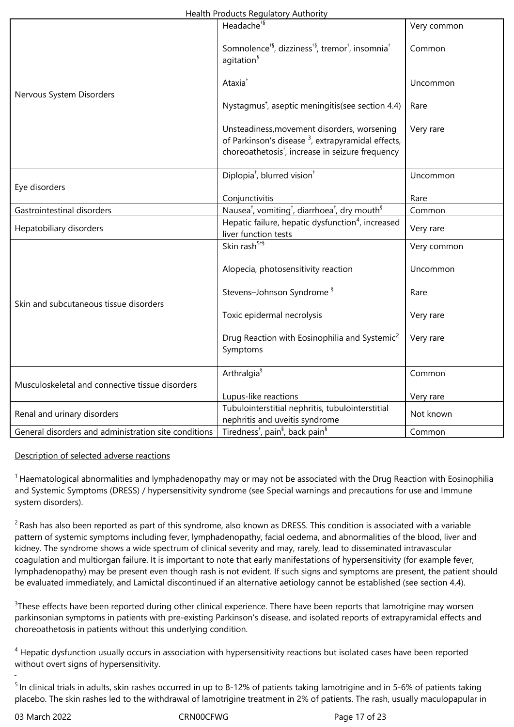|                                                      | Headache <sup>+§</sup>                                                                                       | Very common |  |
|------------------------------------------------------|--------------------------------------------------------------------------------------------------------------|-------------|--|
|                                                      |                                                                                                              |             |  |
|                                                      | Somnolence <sup>+§</sup> , dizziness <sup>+§</sup> , tremor <sup>+</sup> , insomnia <sup>+</sup>             | Common      |  |
|                                                      | agitation <sup>§</sup>                                                                                       |             |  |
|                                                      |                                                                                                              |             |  |
|                                                      | Ataxia <sup>+</sup>                                                                                          | Uncommon    |  |
| Nervous System Disorders                             |                                                                                                              |             |  |
|                                                      | Nystagmus <sup>+</sup> , aseptic meningitis(see section 4.4)                                                 | Rare        |  |
|                                                      |                                                                                                              |             |  |
|                                                      | Unsteadiness, movement disorders, worsening<br>of Parkinson's disease <sup>3</sup> , extrapyramidal effects, | Very rare   |  |
|                                                      | choreoathetosis <sup>†</sup> , increase in seizure frequency                                                 |             |  |
|                                                      |                                                                                                              |             |  |
|                                                      | Diplopia <sup>†</sup> , blurred vision <sup>†</sup>                                                          | Uncommon    |  |
| Eye disorders                                        |                                                                                                              |             |  |
|                                                      | Conjunctivitis                                                                                               | Rare        |  |
| Gastrointestinal disorders                           | Nausea <sup>†</sup> , vomiting <sup>†</sup> , diarrhoea <sup>†</sup> , dry mouth <sup>§</sup>                | Common      |  |
| Hepatobiliary disorders                              | Hepatic failure, hepatic dysfunction <sup>4</sup> , increased                                                | Very rare   |  |
|                                                      | liver function tests                                                                                         |             |  |
|                                                      | Skin rash <sup>5+§</sup>                                                                                     | Very common |  |
|                                                      | Alopecia, photosensitivity reaction                                                                          | Uncommon    |  |
|                                                      |                                                                                                              |             |  |
|                                                      | Stevens-Johnson Syndrome <sup>§</sup>                                                                        | Rare        |  |
| Skin and subcutaneous tissue disorders               |                                                                                                              |             |  |
|                                                      | Toxic epidermal necrolysis                                                                                   | Very rare   |  |
|                                                      |                                                                                                              |             |  |
|                                                      | Drug Reaction with Eosinophilia and Systemic <sup>2</sup>                                                    | Very rare   |  |
|                                                      | Symptoms                                                                                                     |             |  |
|                                                      | Arthralgia <sup>§</sup>                                                                                      | Common      |  |
| Musculoskeletal and connective tissue disorders      |                                                                                                              |             |  |
|                                                      | Lupus-like reactions                                                                                         | Very rare   |  |
|                                                      | Tubulointerstitial nephritis, tubulointerstitial<br>Not known                                                |             |  |
| Renal and urinary disorders                          | nephritis and uveitis syndrome                                                                               |             |  |
| General disorders and administration site conditions | Tiredness <sup>†</sup> , pain <sup>§</sup> , back pain <sup>§</sup>                                          | Common      |  |

### Description of selected adverse reactions

 $1$  Haematological abnormalities and lymphadenopathy may or may not be associated with the Drug Reaction with Eosinophilia and Systemic Symptoms (DRESS) / hypersensitivity syndrome (see Special warnings and precautions for use and Immune system disorders).

 $2$  Rash has also been reported as part of this syndrome, also known as DRESS. This condition is associated with a variable pattern of systemic symptoms including fever, lymphadenopathy, facial oedema, and abnormalities of the blood, liver and kidney. The syndrome shows a wide spectrum of clinical severity and may, rarely, lead to disseminated intravascular coagulation and multiorgan failure. It is important to note that early manifestations of hypersensitivity (for example fever, lymphadenopathy) may be present even though rash is not evident. If such signs and symptoms are present, the patient should be evaluated immediately, and Lamictal discontinued if an alternative aetiology cannot be established (see section 4.4).

<sup>3</sup>These effects have been reported during other clinical experience. There have been reports that lamotrigine may worsen parkinsonian symptoms in patients with pre‑existing Parkinson's disease, and isolated reports of extrapyramidal effects and choreoathetosis in patients without this underlying condition.

<sup>4</sup> Hepatic dysfunction usually occurs in association with hypersensitivity reactions but isolated cases have been reported without overt signs of hypersensitivity.

<sup>5</sup> In clinical trials in adults, skin rashes occurred in up to 8-12% of patients taking lamotrigine and in 5-6% of patients taking placebo. The skin rashes led to the withdrawal of lamotrigine treatment in 2% of patients. The rash, usually maculopapular in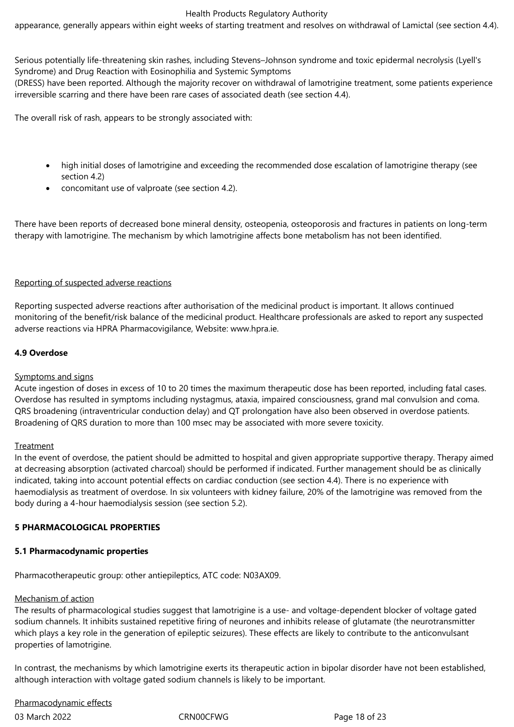appearance, generally appears within eight weeks of starting treatment and resolves on withdrawal of Lamictal (see section 4.4).

Serious potentially life-threatening skin rashes, including Stevens–Johnson syndrome and toxic epidermal necrolysis (Lyell's Syndrome) and Drug Reaction with Eosinophilia and Systemic Symptoms

(DRESS) have been reported. Although the majority recover on withdrawal of lamotrigine treatment, some patients experience irreversible scarring and there have been rare cases of associated death (see section 4.4).

The overall risk of rash, appears to be strongly associated with:

- high initial doses of lamotrigine and exceeding the recommended dose escalation of lamotrigine therapy (see section 4.2)
- concomitant use of valproate (see section 4.2).

There have been reports of decreased bone mineral density, osteopenia, osteoporosis and fractures in patients on long-term therapy with lamotrigine. The mechanism by which lamotrigine affects bone metabolism has not been identified.

### Reporting of suspected adverse reactions

Reporting suspected adverse reactions after authorisation of the medicinal product is important. It allows continued monitoring of the benefit/risk balance of the medicinal product. Healthcare professionals are asked to report any suspected adverse reactions via HPRA Pharmacovigilance, Website: www.hpra.ie.

### **4.9 Overdose**

### Symptoms and signs

Acute ingestion of doses in excess of 10 to 20 times the maximum therapeutic dose has been reported, including fatal cases. Overdose has resulted in symptoms including nystagmus, ataxia, impaired consciousness, grand mal convulsion and coma. QRS broadening (intraventricular conduction delay) and QT prolongation have also been observed in overdose patients. Broadening of QRS duration to more than 100 msec may be associated with more severe toxicity.

### Treatment

In the event of overdose, the patient should be admitted to hospital and given appropriate supportive therapy. Therapy aimed at decreasing absorption (activated charcoal) should be performed if indicated. Further management should be as clinically indicated, taking into account potential effects on cardiac conduction (see section 4.4). There is no experience with haemodialysis as treatment of overdose. In six volunteers with kidney failure, 20% of the lamotrigine was removed from the body during a 4‑hour haemodialysis session (see section 5.2).

### **5 PHARMACOLOGICAL PROPERTIES**

### **5.1 Pharmacodynamic properties**

Pharmacotherapeutic group: other antiepileptics, ATC code: N03AX09.

#### Mechanism of action

The results of pharmacological studies suggest that lamotrigine is a use- and voltage‑dependent blocker of voltage gated sodium channels. It inhibits sustained repetitive firing of neurones and inhibits release of glutamate (the neurotransmitter which plays a key role in the generation of epileptic seizures). These effects are likely to contribute to the anticonvulsant properties of lamotrigine.

In contrast, the mechanisms by which lamotrigine exerts its therapeutic action in bipolar disorder have not been established, although interaction with voltage gated sodium channels is likely to be important.

Pharmacodynamic effects

03 March 2022 CRN00CFWG CROSS CROSS CROSS Page 18 of 23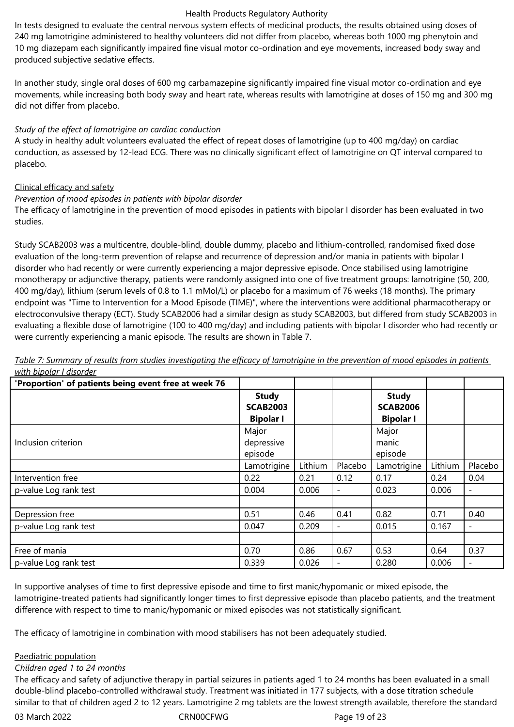In tests designed to evaluate the central nervous system effects of medicinal products, the results obtained using doses of 240 mg lamotrigine administered to healthy volunteers did not differ from placebo, whereas both 1000 mg phenytoin and 10 mg diazepam each significantly impaired fine visual motor co‑ordination and eye movements, increased body sway and produced subjective sedative effects.

In another study, single oral doses of 600 mg carbamazepine significantly impaired fine visual motor co-ordination and eye movements, while increasing both body sway and heart rate, whereas results with lamotrigine at doses of 150 mg and 300 mg did not differ from placebo.

### *Study of the effect of lamotrigine on cardiac conduction*

A study in healthy adult volunteers evaluated the effect of repeat doses of lamotrigine (up to 400 mg/day) on cardiac conduction, as assessed by 12‑lead ECG. There was no clinically significant effect of lamotrigine on QT interval compared to placebo.

### Clinical efficacy and safety

### *Prevention of mood episodes in patients with bipolar disorder*

The efficacy of lamotrigine in the prevention of mood episodes in patients with bipolar I disorder has been evaluated in two studies.

Study SCAB2003 was a multicentre, double‑blind, double dummy, placebo and lithium‑controlled, randomised fixed dose evaluation of the long-term prevention of relapse and recurrence of depression and/or mania in patients with bipolar I disorder who had recently or were currently experiencing a major depressive episode. Once stabilised using lamotrigine monotherapy or adjunctive therapy, patients were randomly assigned into one of five treatment groups: lamotrigine (50, 200, 400 mg/day), lithium (serum levels of 0.8 to 1.1 mMol/L) or placebo for a maximum of 76 weeks (18 months). The primary endpoint was "Time to Intervention for a Mood Episode (TIME)", where the interventions were additional pharmacotherapy or electroconvulsive therapy (ECT). Study SCAB2006 had a similar design as study SCAB2003, but differed from study SCAB2003 in evaluating a flexible dose of lamotrigine (100 to 400 mg/day) and including patients with bipolar I disorder who had recently or were currently experiencing a manic episode. The results are shown in Table 7.

**'Proportion' of patients being event free at week 76 Study SCAB2003 Bipolar I Study SCAB2006 Bipolar I** Inclusion criterion Major depressive episode Major manic episode Lamotrigine | Lithium | Placebo | Lamotrigine | Lithium | Placebo Intervention free 0.22 0.21 0.12 0.17 0.24 0.04 p-value Log rank test 0.004 0.006 - 0.023 0.006 - Depression free 2.51 0.51 0.46 0.41 0.82 0.71 0.40 p-value Log rank test 0.047 0.209 - 0.015 0.167 - Free of mania 0.70 0.86 0.67 0.53 0.64 0.37 p-value Log rank test 0.339 0.026 - 0.280 0.006 -

*Table 7: Summary of results from studies investigating the efficacy of lamotrigine in the prevention of mood episodes in patients with bipolar I disorder*

In supportive analyses of time to first depressive episode and time to first manic/hypomanic or mixed episode, the lamotrigine-treated patients had significantly longer times to first depressive episode than placebo patients, and the treatment difference with respect to time to manic/hypomanic or mixed episodes was not statistically significant.

The efficacy of lamotrigine in combination with mood stabilisers has not been adequately studied.

### Paediatric population

### *Children aged 1 to 24 months*

The efficacy and safety of adjunctive therapy in partial seizures in patients aged 1 to 24 months has been evaluated in a small double-blind placebo-controlled withdrawal study. Treatment was initiated in 177 subjects, with a dose titration schedule similar to that of children aged 2 to 12 years. Lamotrigine 2 mg tablets are the lowest strength available, therefore the standard

03 March 2022 CRN00CFWG CROSS CROSS CROSS CRNO0CFWG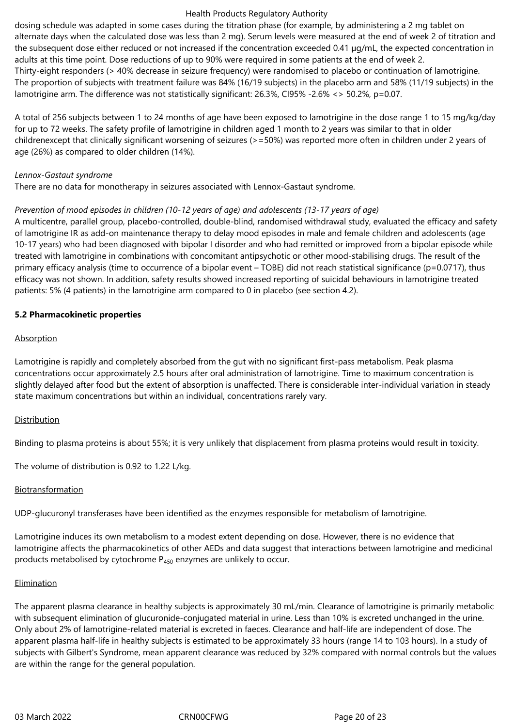dosing schedule was adapted in some cases during the titration phase (for example, by administering a 2 mg tablet on alternate days when the calculated dose was less than 2 mg). Serum levels were measured at the end of week 2 of titration and the subsequent dose either reduced or not increased if the concentration exceeded 0.41 µg/mL, the expected concentration in adults at this time point. Dose reductions of up to 90% were required in some patients at the end of week 2. Thirty‑eight responders (> 40% decrease in seizure frequency) were randomised to placebo or continuation of lamotrigine. The proportion of subjects with treatment failure was 84% (16/19 subjects) in the placebo arm and 58% (11/19 subjects) in the lamotrigine arm. The difference was not statistically significant: 26.3%, CI95% -2.6% <> 50.2%, p=0.07.

A total of 256 subjects between 1 to 24 months of age have been exposed to lamotrigine in the dose range 1 to 15 mg/kg/day for up to 72 weeks. The safety profile of lamotrigine in children aged 1 month to 2 years was similar to that in older childrenexcept that clinically significant worsening of seizures (>=50%) was reported more often in children under 2 years of age (26%) as compared to older children (14%).

#### *Lennox‑Gastaut syndrome*

There are no data for monotherapy in seizures associated with Lennox-Gastaut syndrome.

### *Prevention of mood episodes in children (10-12 years of age) and adolescents (13-17 years of age)*

A multicentre, parallel group, placebo-controlled, double-blind, randomised withdrawal study, evaluated the efficacy and safety of lamotrigine IR as add-on maintenance therapy to delay mood episodes in male and female children and adolescents (age 10-17 years) who had been diagnosed with bipolar I disorder and who had remitted or improved from a bipolar episode while treated with lamotrigine in combinations with concomitant antipsychotic or other mood-stabilising drugs. The result of the primary efficacy analysis (time to occurrence of a bipolar event – TOBE) did not reach statistical significance (p=0.0717), thus efficacy was not shown. In addition, safety results showed increased reporting of suicidal behaviours in lamotrigine treated patients: 5% (4 patients) in the lamotrigine arm compared to 0 in placebo (see section 4.2).

### **5.2 Pharmacokinetic properties**

### Absorption

Lamotrigine is rapidly and completely absorbed from the gut with no significant first-pass metabolism. Peak plasma concentrations occur approximately 2.5 hours after oral administration of lamotrigine. Time to maximum concentration is slightly delayed after food but the extent of absorption is unaffected. There is considerable inter‑individual variation in steady state maximum concentrations but within an individual, concentrations rarely vary.

### Distribution

Binding to plasma proteins is about 55%; it is very unlikely that displacement from plasma proteins would result in toxicity.

The volume of distribution is 0.92 to 1.22 L/kg.

### Biotransformation

UDP‑glucuronyl transferases have been identified as the enzymes responsible for metabolism of lamotrigine.

Lamotrigine induces its own metabolism to a modest extent depending on dose. However, there is no evidence that lamotrigine affects the pharmacokinetics of other AEDs and data suggest that interactions between lamotrigine and medicinal products metabolised by cytochrome  $P_{450}$  enzymes are unlikely to occur.

### Elimination

The apparent plasma clearance in healthy subjects is approximately 30 mL/min. Clearance of lamotrigine is primarily metabolic with subsequent elimination of glucuronide-conjugated material in urine. Less than 10% is excreted unchanged in the urine. Only about 2% of lamotrigine‑related material is excreted in faeces. Clearance and half‑life are independent of dose. The apparent plasma half-life in healthy subjects is estimated to be approximately 33 hours (range 14 to 103 hours). In a study of subjects with Gilbert's Syndrome, mean apparent clearance was reduced by 32% compared with normal controls but the values are within the range for the general population.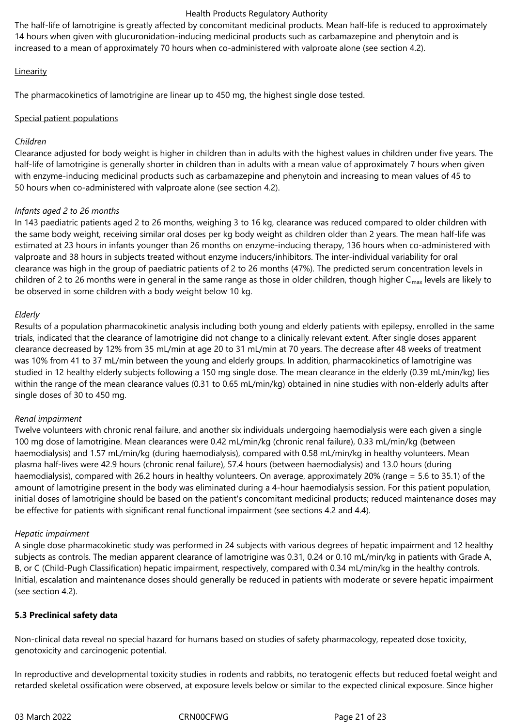The half-life of lamotrigine is greatly affected by concomitant medicinal products. Mean half-life is reduced to approximately 14 hours when given with glucuronidation-inducing medicinal products such as carbamazepine and phenytoin and is increased to a mean of approximately 70 hours when co-administered with valproate alone (see section 4.2).

### Linearity

The pharmacokinetics of lamotrigine are linear up to 450 mg, the highest single dose tested.

### Special patient populations

### *Children*

Clearance adjusted for body weight is higher in children than in adults with the highest values in children under five years. The half-life of lamotrigine is generally shorter in children than in adults with a mean value of approximately 7 hours when given with enzyme-inducing medicinal products such as carbamazepine and phenytoin and increasing to mean values of 45 to 50 hours when co‑administered with valproate alone (see section 4.2).

### *Infants aged 2 to 26 months*

In 143 paediatric patients aged 2 to 26 months, weighing 3 to 16 kg, clearance was reduced compared to older children with the same body weight, receiving similar oral doses per kg body weight as children older than 2 years. The mean half-life was estimated at 23 hours in infants younger than 26 months on enzyme-inducing therapy, 136 hours when co-administered with valproate and 38 hours in subjects treated without enzyme inducers/inhibitors. The inter‑individual variability for oral clearance was high in the group of paediatric patients of 2 to 26 months (47%). The predicted serum concentration levels in children of 2 to 26 months were in general in the same range as those in older children, though higher  $C_{\text{max}}$  levels are likely to be observed in some children with a body weight below 10 kg.

### *Elderly*

Results of a population pharmacokinetic analysis including both young and elderly patients with epilepsy, enrolled in the same trials, indicated that the clearance of lamotrigine did not change to a clinically relevant extent. After single doses apparent clearance decreased by 12% from 35 mL/min at age 20 to 31 mL/min at 70 years. The decrease after 48 weeks of treatment was 10% from 41 to 37 mL/min between the young and elderly groups. In addition, pharmacokinetics of lamotrigine was studied in 12 healthy elderly subjects following a 150 mg single dose. The mean clearance in the elderly (0.39 mL/min/kg) lies within the range of the mean clearance values (0.31 to 0.65 mL/min/kg) obtained in nine studies with non-elderly adults after single doses of 30 to 450 mg.

### *Renal impairment*

Twelve volunteers with chronic renal failure, and another six individuals undergoing haemodialysis were each given a single 100 mg dose of lamotrigine. Mean clearances were 0.42 mL/min/kg (chronic renal failure), 0.33 mL/min/kg (between haemodialysis) and 1.57 mL/min/kg (during haemodialysis), compared with 0.58 mL/min/kg in healthy volunteers. Mean plasma half‑lives were 42.9 hours (chronic renal failure), 57.4 hours (between haemodialysis) and 13.0 hours (during haemodialysis), compared with 26.2 hours in healthy volunteers. On average, approximately 20% (range = 5.6 to 35.1) of the amount of lamotrigine present in the body was eliminated during a 4-hour haemodialysis session. For this patient population, initial doses of lamotrigine should be based on the patient's concomitant medicinal products; reduced maintenance doses may be effective for patients with significant renal functional impairment (see sections 4.2 and 4.4).

### *Hepatic impairment*

A single dose pharmacokinetic study was performed in 24 subjects with various degrees of hepatic impairment and 12 healthy subjects as controls. The median apparent clearance of lamotrigine was 0.31, 0.24 or 0.10 mL/min/kg in patients with Grade A, B, or C (Child‑Pugh Classification) hepatic impairment, respectively, compared with 0.34 mL/min/kg in the healthy controls. Initial, escalation and maintenance doses should generally be reduced in patients with moderate or severe hepatic impairment (see section 4.2).

### **5.3 Preclinical safety data**

Non-clinical data reveal no special hazard for humans based on studies of safety pharmacology, repeated dose toxicity, genotoxicity and carcinogenic potential.

In reproductive and developmental toxicity studies in rodents and rabbits, no teratogenic effects but reduced foetal weight and retarded skeletal ossification were observed, at exposure levels below or similar to the expected clinical exposure. Since higher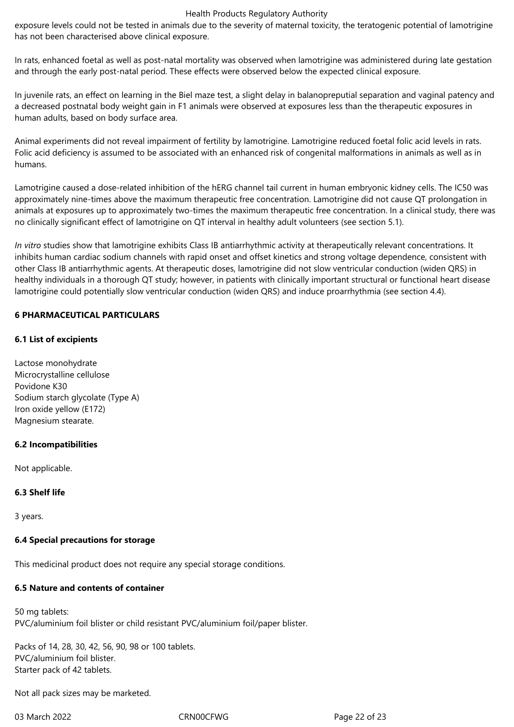exposure levels could not be tested in animals due to the severity of maternal toxicity, the teratogenic potential of lamotrigine has not been characterised above clinical exposure.

In rats, enhanced foetal as well as post-natal mortality was observed when lamotrigine was administered during late gestation and through the early post-natal period. These effects were observed below the expected clinical exposure.

In juvenile rats, an effect on learning in the Biel maze test, a slight delay in balanopreputial separation and vaginal patency and a decreased postnatal body weight gain in F1 animals were observed at exposures less than the therapeutic exposures in human adults, based on body surface area.

Animal experiments did not reveal impairment of fertility by lamotrigine. Lamotrigine reduced foetal folic acid levels in rats. Folic acid deficiency is assumed to be associated with an enhanced risk of congenital malformations in animals as well as in humans.

Lamotrigine caused a dose-related inhibition of the hERG channel tail current in human embryonic kidney cells. The IC50 was approximately nine-times above the maximum therapeutic free concentration. Lamotrigine did not cause QT prolongation in animals at exposures up to approximately two-times the maximum therapeutic free concentration. In a clinical study, there was no clinically significant effect of lamotrigine on QT interval in healthy adult volunteers (see section 5.1).

*In vitro* studies show that lamotrigine exhibits Class IB antiarrhythmic activity at therapeutically relevant concentrations. It inhibits human cardiac sodium channels with rapid onset and offset kinetics and strong voltage dependence, consistent with other Class IB antiarrhythmic agents. At therapeutic doses, lamotrigine did not slow ventricular conduction (widen QRS) in healthy individuals in a thorough QT study; however, in patients with clinically important structural or functional heart disease lamotrigine could potentially slow ventricular conduction (widen QRS) and induce proarrhythmia (see section 4.4).

### **6 PHARMACEUTICAL PARTICULARS**

### **6.1 List of excipients**

Lactose monohydrate Microcrystalline cellulose Povidone K30 Sodium starch glycolate (Type A) Iron oxide yellow (E172) Magnesium stearate.

### **6.2 Incompatibilities**

Not applicable.

### **6.3 Shelf life**

3 years.

### **6.4 Special precautions for storage**

This medicinal product does not require any special storage conditions.

### **6.5 Nature and contents of container**

50 mg tablets: PVC/aluminium foil blister or child resistant PVC/aluminium foil/paper blister.

Packs of 14, 28, 30, 42, 56, 90, 98 or 100 tablets. PVC/aluminium foil blister. Starter pack of 42 tablets.

Not all pack sizes may be marketed.

03 March 2022 CRN00CFWG CROSS CROSS CROSS CRNO0CFWG Page 22 of 23